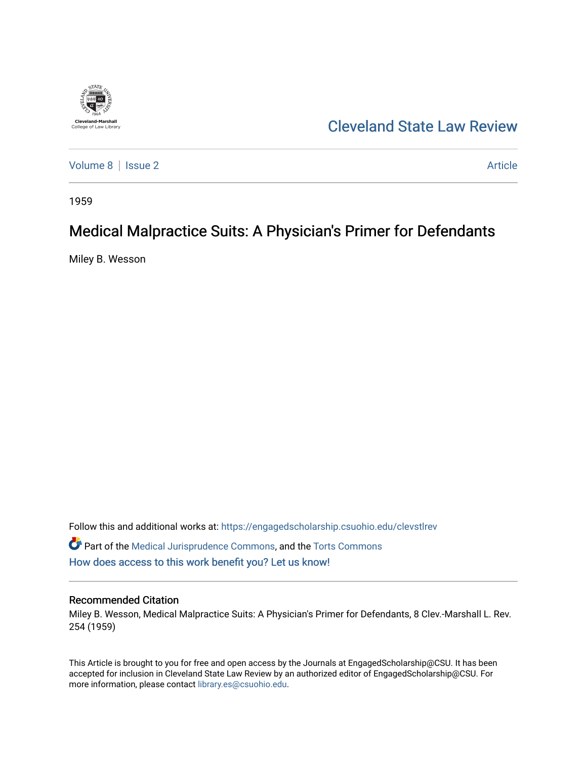

## [Cleveland State Law Review](https://engagedscholarship.csuohio.edu/clevstlrev)

[Volume 8](https://engagedscholarship.csuohio.edu/clevstlrev/vol8) | [Issue 2](https://engagedscholarship.csuohio.edu/clevstlrev/vol8/iss2) Article

1959

## Medical Malpractice Suits: A Physician's Primer for Defendants

Miley B. Wesson

Follow this and additional works at: [https://engagedscholarship.csuohio.edu/clevstlrev](https://engagedscholarship.csuohio.edu/clevstlrev?utm_source=engagedscholarship.csuohio.edu%2Fclevstlrev%2Fvol8%2Fiss2%2F6&utm_medium=PDF&utm_campaign=PDFCoverPages)

Part of the [Medical Jurisprudence Commons,](http://network.bepress.com/hgg/discipline/860?utm_source=engagedscholarship.csuohio.edu%2Fclevstlrev%2Fvol8%2Fiss2%2F6&utm_medium=PDF&utm_campaign=PDFCoverPages) and the [Torts Commons](http://network.bepress.com/hgg/discipline/913?utm_source=engagedscholarship.csuohio.edu%2Fclevstlrev%2Fvol8%2Fiss2%2F6&utm_medium=PDF&utm_campaign=PDFCoverPages)  [How does access to this work benefit you? Let us know!](http://library.csuohio.edu/engaged/)

## Recommended Citation

Miley B. Wesson, Medical Malpractice Suits: A Physician's Primer for Defendants, 8 Clev.-Marshall L. Rev. 254 (1959)

This Article is brought to you for free and open access by the Journals at EngagedScholarship@CSU. It has been accepted for inclusion in Cleveland State Law Review by an authorized editor of EngagedScholarship@CSU. For more information, please contact [library.es@csuohio.edu](mailto:library.es@csuohio.edu).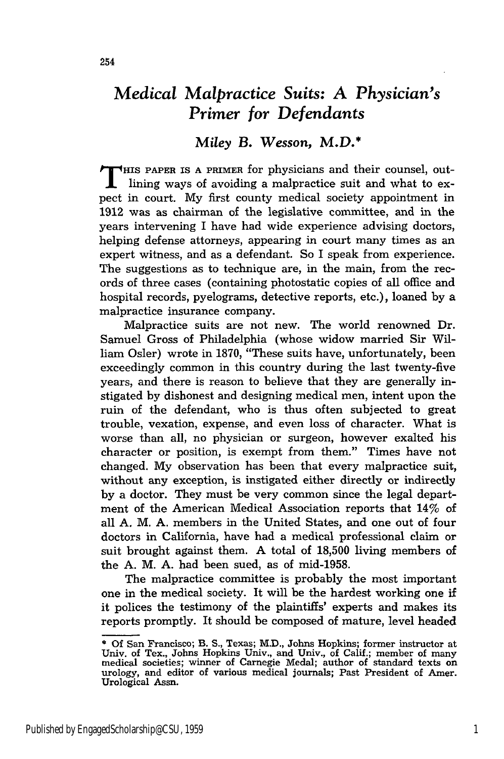## *Miley* B. *Wesson, M.D.\**

**T** Hs PAPER IS **A** PRIMER for physicians and their counsel, outlining ways of avoiding a malpractice suit and what to expect in court. My first county medical society appointment in 1912 was as chairman of the legislative committee, and in the years intervening I have had wide experience advising doctors, helping defense attorneys, appearing in court many times as an expert witness, and as a defendant. So I speak from experience. The suggestions as to technique are, in the main, from the records of three cases (containing photostatic copies of all office and hospital records, pyelograms, detective reports, etc.), loaned by a malpractice insurance company.

Malpractice suits are not new. The world renowned Dr. Samuel Gross of Philadelphia (whose widow married Sir William Osler) wrote in **1870,** "These suits have, unfortunately, been exceedingly common in this country during the last twenty-five years, and there is reason to believe that they are generally instigated by dishonest and designing medical men, intent upon the ruin of the defendant, who is thus often subjected to great trouble, vexation, expense, and even loss of character. What is worse than all, no physician or surgeon, however exalted his character or position, is exempt from them." Times have not changed. My observation has been that every malpractice suit, without any exception, is instigated either directly or indirectly by a doctor. They must be very common since the legal department of the American Medical Association reports that 14% of all A. M. A. members in the United States, and one out of four doctors in California, have had a medical professional claim or suit brought against them. A total of 18,500 living members of the A. M. A. had been sued, as of mid-1958.

The malpractice committee is probably the most important one in the medical society. It will be the hardest working one if it polices the testimony of the plaintiffs' experts and makes its reports promptly. It should be composed of mature, level headed

<sup>\*</sup> Of San Francisco; B. S., Texas; M.D., Johns Hopkins; former instructor at Univ. of Tex., Johns Hopkins Univ., and Univ., of Calif.; member of many medical societies; winner of Carnegie Medal; author of standard texts on urology, and editor of various medical journals; Past President of Amer. Urological Assn.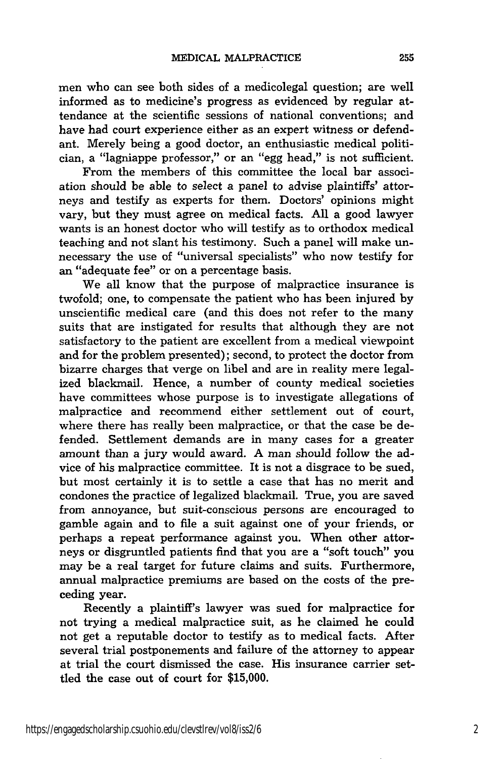men who can see both sides of a medicolegal question; are well informed as to medicine's progress as evidenced by regular attendance at the scientific sessions of national conventions; and have had court experience either as an expert witness or defendant. Merely being a good doctor, an enthusiastic medical politician, a "lagniappe professor," or an "egg head," is not sufficient.

From the members of this committee the local bar association should be able to select a panel to advise plaintiffs' attorneys and testify as experts for them. Doctors' opinions might vary, but they must agree on medical facts. All a good lawyer wants is an honest doctor who will testify as to orthodox medical teaching and not slant his testimony. Such a panel will make unnecessary the use of "universal specialists" who now testify for an "adequate fee" or on a percentage basis.

We all know that the purpose of malpractice insurance is twofold; one, to compensate the patient who has been injured by unscientific medical care (and this does not refer to the many suits that are instigated for results that although they are not satisfactory to the patient are excellent from a medical viewpoint and for the problem presented); second, to protect the doctor from bizarre charges that verge on libel and are in reality mere legalized blackmail. Hence, a number of county medical societies have committees whose purpose is to investigate allegations of malpractice and recommend either settlement out of court, where there has really been malpractice, or that the case be defended. Settlement demands are in many cases for a greater amount than a jury would award. **A** man should follow the advice of his malpractice committee. It is not a disgrace to be sued, but most certainly it is to settle a case that has no merit and condones the practice of legalized blackmail. True, you are saved from annoyance, but suit-conscious persons are encouraged to gamble again and to file a suit against one of your friends, or perhaps a repeat performance against you. When other attorneys or disgruntled patients find that you are a "soft touch" you may be a real target for future claims and suits. Furthermore, annual malpractice premiums are based on the costs of the preceding year.

Recently a plaintiff's lawyer was sued for malpractice for not trying a medical malpractice suit, as he claimed he could not get a reputable doctor to testify as to medical facts. After several trial postponements and failure of the attorney to appear at trial the court dismissed the case. His insurance carrier settled the case out of court for **\$15,000.**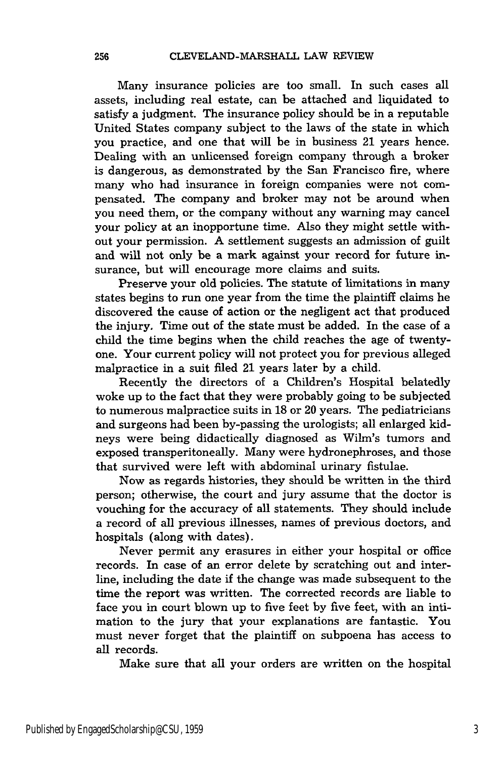Many insurance policies are too small. In such cases all assets, including real estate, can be attached and liquidated to satisfy a judgment. The insurance policy should be in a reputable United States company subject to the laws of the state in which you practice, and one that will be in business 21 years hence. Dealing with an unlicensed foreign company through a broker is dangerous, as demonstrated by the San Francisco fire, where many who had insurance in foreign companies were not compensated. The company and broker may not be around when you need them, or the company without any warning may cancel your policy at an inopportune time. Also they might settle without your permission. A settlement suggests an admission of guilt and will not only be a mark against your record for future insurance, but will encourage more claims and suits.

Preserve your old policies. The statute of limitations in many states begins to run one year from the time the plaintiff claims he discovered the cause of action or the negligent act that produced the injury. Time out of the state must be added. In the case of a child the time begins when the child reaches the age of twentyone. Your current policy will not protect you for previous alleged malpractice in a suit filed 21 years later by a child.

Recently the directors of a Children's Hospital belatedly woke up to the fact that they were probably going to be subjected to numerous malpractice suits in 18 or 20 years. The pediatricians and surgeons had been by-passing the urologists; all enlarged kidneys were being didactically diagnosed as Wilm's tumors and exposed transperitoneally. Many were hydronephroses, and those that survived were left with abdominal urinary fistulae.

Now as regards histories, they should be written in the third person; otherwise, the court and jury assume that the doctor is vouching for the accuracy of all statements. They should include a record of all previous illnesses, names of previous doctors, and hospitals (along with dates).

Never permit any erasures in either your hospital or office records. In case of an error delete by scratching out and interline, including the date if the change was made subsequent to the time the report was written. The corrected records are liable to face you in court blown up to five feet by five feet, with an intimation to the jury that your explanations are fantastic. You must never forget that the plaintiff on subpoena has access to all records.

Make sure that all your orders are written on the hospital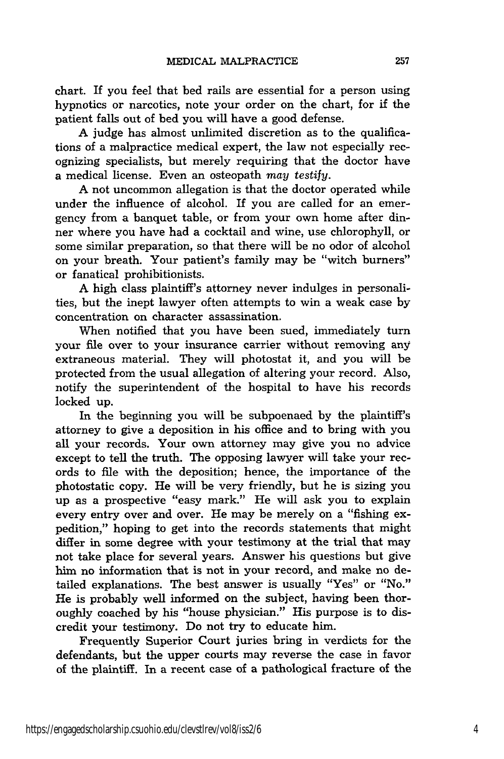chart. If you feel that bed rails are essential for a person using hypnotics or narcotics, note your order on the chart, for if the patient falls out of bed you will have a good defense.

A judge has almost unlimited discretion as to the qualifications of a malpractice medical expert, the law not especially recognizing specialists, but merely requiring that the doctor have a medical license. Even an osteopath may *testify.*

A not uncommon allegation is that the doctor operated while under the influence of alcohol. If you are called for an emergency from a banquet table, or from your own home after dinner where you have had a cocktail and wine, use chlorophyll, or some similar preparation, so that there will be no odor of alcohol on your breath. Your patient's family may be "witch burners" or fanatical prohibitionists.

A high class plaintiff's attorney never indulges in personalities, but the inept lawyer often attempts to win a weak case **by** concentration on character assassination.

When notified that you have been sued, immediately turn your file over to your insurance carrier without removing any extraneous material. They will photostat it, and you will be protected from the usual allegation of altering your record. Also, notify the superintendent of the hospital to have his records locked up.

In the beginning you will be subpoenaed by the plaintiff's attorney to give a deposition in his office and to bring with you all your records. Your own attorney may give you no advice except to tell the truth. The opposing lawyer will take your records to file with the deposition; hence, the importance of the photostatic copy. He will be very friendly, but he is sizing you up as a prospective "easy mark." He will ask you to explain every entry over and over. He may be merely on a "fishing expedition," hoping to get into the records statements that might differ in some degree with your testimony at the trial that may not take place for several years. Answer his questions but give him no information that is not in your record, and make no detailed explanations. The best answer is usually "Yes" or "No." He is probably well informed on the subject, having been thoroughly coached by his "house physician." His purpose is to discredit your testimony. Do not try to educate him.

Frequently Superior Court juries bring in verdicts for the defendants, but the upper courts may reverse the case in favor of the plaintiff. In a recent case of a pathological fracture of the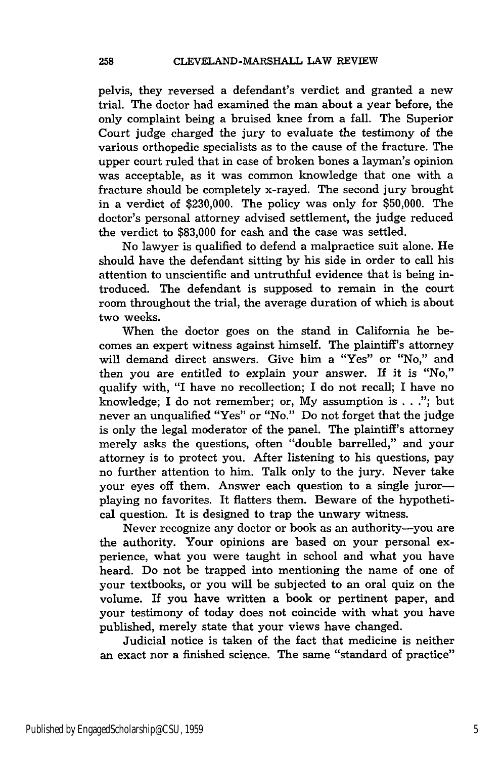pelvis, they reversed a defendant's verdict and granted a new trial. The doctor had examined the man about a year before, the only complaint being a bruised knee from a fall. The Superior Court judge charged the jury to evaluate the testimony of the various orthopedic specialists as to the cause of the fracture. The upper court ruled that in case of broken bones a layman's opinion was acceptable, as it was common knowledge that one with a fracture should be completely x-rayed. The second jury brought in a verdict of \$230,000. The policy was only for \$50,000. The doctor's personal attorney advised settlement, the judge reduced the verdict to \$83,000 for cash and the case was settled.

No lawyer is qualified to defend a malpractice suit alone. He should have the defendant sitting by his side in order to call his attention to unscientific and untruthful evidence that is being introduced. The defendant is supposed to remain in the court room throughout the trial, the average duration of which is about two weeks.

When the doctor goes on the stand in California he becomes an expert witness against himself. The plaintiff's attorney will demand direct answers. Give him a "Yes" or "No," and then *you* are entitled to explain your answer. If it is "No," qualify with, "I have no recollection; I do not recall; **I** have no knowledge; I do not remember; or, My assumption is . . ."; but never an unqualified "Yes" or "No." Do not forget that the judge is only the legal moderator of the panel. The plaintiff's attorney merely asks the questions, often "double barrelled," and your attorney is to protect you. After listening to his questions, pay no further attention to him. Talk only to the jury. Never take your eyes off them. Answer each question to a single jurorplaying no favorites. It flatters them. Beware of the hypothetical question. It is designed to trap the unwary witness.

Never recognize any doctor or book as an authority-you are the authority. Your opinions are based on your personal experience, what you were taught in school and what you have heard. Do not be trapped into mentioning the name of one of your textbooks, or you will be subjected to an oral quiz on the volume. If you have written a book or pertinent paper, and your testimony of today does not coincide with what you have published, merely state that your views have changed.

Judicial notice is taken of the fact that medicine is neither an exact nor a finished science. The same "standard of practice"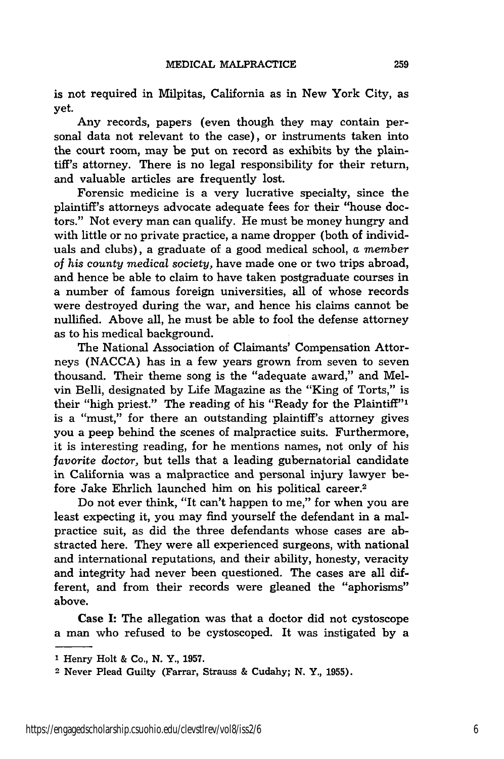is not required in Milpitas, California as in New York City, as yet.

Any records, papers (even though they may contain personal data not relevant to the case), or instruments taken into the court room, may be put on record as exhibits by the plaintiff's attorney. There is no legal responsibility for their return, and valuable articles are frequently lost.

Forensic medicine is a very lucrative specialty, since the plaintiff's attorneys advocate adequate fees for their "house doctors." Not every man can qualify. He must be money hungry and with little or no private practice, a name dropper (both of individuals and clubs), a graduate of a good medical school, a *member of his county medical society,* have made one or two trips abroad, and hence be able to claim to have taken postgraduate courses in a number of famous foreign universities, all of whose records were destroyed during the war, and hence his claims cannot be nullified. Above all, he must be able to fool the defense attorney as to his medical background.

The National Association of Claimants' Compensation Attorneys (NACCA) has in a few years grown from seven to seven thousand. Their theme song is the "adequate award," and Melvin Belli, designated by Life Magazine as the "King of Torts," is their "high priest." The reading of his "Ready for the Plaintiff"' is a "must," for there an outstanding plaintiff's attorney gives you a peep behind the scenes of malpractice suits. Furthermore, it is interesting reading, for he mentions names, not only of his *favorite* doctor, but tells that a leading gubernatorial candidate in California was a malpractice and personal injury lawyer before Jake Ehrlich launched him on his political career.2

Do not ever think, "It can't happen to me," for when you are least expecting it, you may find yourself the defendant in a malpractice suit, as did the three defendants whose cases are abstracted here. They were all experienced surgeons, with national and international reputations, and their ability, honesty, veracity and integrity had never been questioned. The cases are all different, and from their records were gleaned the "aphorisms" above.

Case I: The allegation was that a doctor did not cystoscope a man who refused to be cystoscoped. It was instigated by a

**<sup>1</sup>** Henry Holt & Co., **N.** Y., 1957.

<sup>2</sup> Never Plead Guilty (Farrar, Strauss & Cudahy; N. Y., 1955).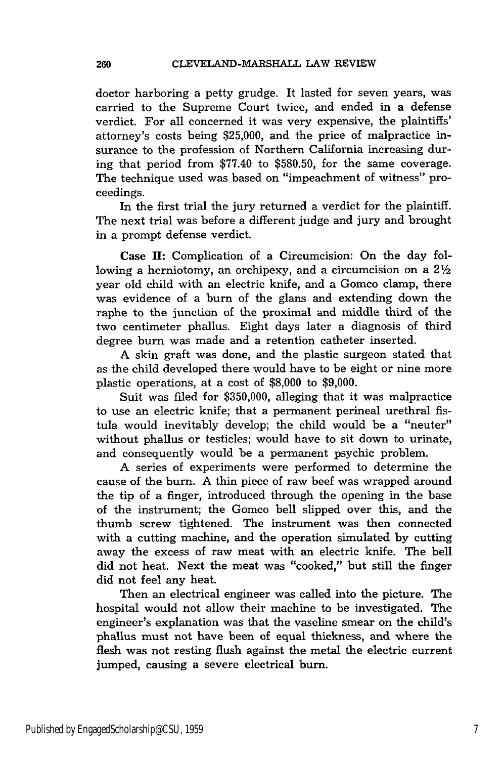doctor harboring a petty grudge. It lasted for seven years, was carried to the Supreme Court twice, and ended in a defense verdict. For all concerned it was very expensive, the plaintiffs' attorney's costs being \$25,000, and the price of malpractice insurance to the profession of Northern California increasing during that period from \$77.40 to \$580.50, for the same coverage. The technique used was based on "impeachment of witness" proceedings.

In the first trial the jury returned a verdict for the plaintiff. The next trial was before a different judge and jury and brought in a prompt defense verdict.

Case **II:** Complication of a Circumcision: On the day following a herniotomy, an orchipexy, and a circumcision on a  $2\frac{1}{2}$ year old child with an electric knife, and a Gomco clamp, there was evidence of a burn of the glans and extending down the raphe to the junction of the proximal and middle third of the two centimeter phallus. Eight days later a diagnosis of third degree burn was made and a retention catheter inserted.

A skin graft was done, and the plastic surgeon stated that as the child developed there would have to be eight or nine more plastic operations, at a cost of \$8,000 to \$9,000.

Suit was filed for \$350,000, alleging that it was malpractice to use an electric knife; that a permanent perineal urethral fistula would inevitably develop; the child would be a "neuter" without phallus or testicles; would have to sit down to urinate, and consequently would be a permanent psychic problem.

A series of experiments were performed to determine the cause of the burn. A thin piece of raw beef was wrapped around the tip of a finger, introduced through the opening in the base of the instrument; the Gomco bell slipped over this, and the thumb screw tightened. The instrument was then connected with a cutting machine, and the operation simulated by cutting away the excess of raw meat with an electric knife. The bell did not heat. Next the meat was "cooked," but still the finger did not feel any heat.

Then an electrical engineer was called into the picture. The hospital would not allow their machine to be investigated. The engineer's explanation was that the vaseline smear on the child's phallus must not have been of equal thickness, and where the flesh was not resting flush against the metal the electric current jumped, causing a severe electrical burn.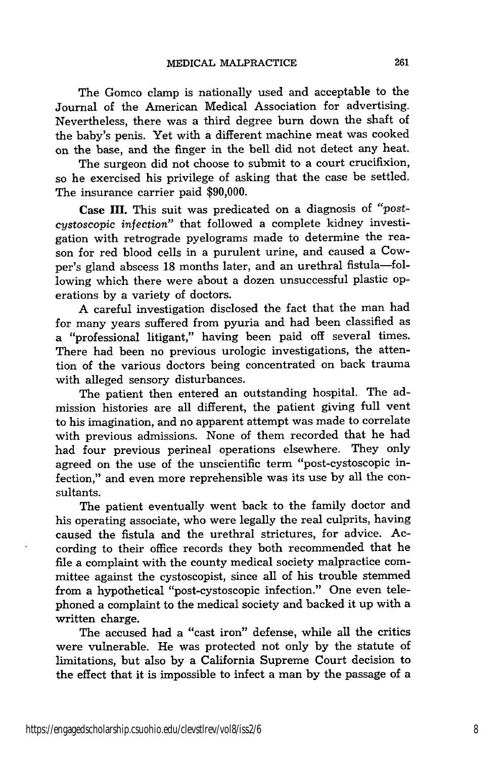The Gomco clamp is nationally used and acceptable to the Journal of the American Medical Association for advertising. Nevertheless, there was a third degree burn down the shaft of the baby's penis. Yet with a different machine meat was cooked on the base, and the finger in the bell did not detect any heat.

The surgeon did not choose to submit to a court crucifixion, so he exercised his privilege of asking that the case be settled. The insurance carrier paid \$90,000.

**Case H.** This suit was predicated on a diagnosis of "postcystoscopic *infection"* that followed a complete kidney investigation with retrograde pyelograms made to determine the reason for red blood cells in a purulent urine, and caused a Cowper's gland abscess 18 months later, and an urethral fistula-following which there were about a dozen unsuccessful plastic operations by a variety of doctors.

A careful investigation disclosed the fact that the man had for many years suffered from pyuria and had been classified as a "professional litigant," having been paid off several times. There had been no previous urologic investigations, the attention of the various doctors being concentrated on back trauma with alleged sensory disturbances.

The patient then entered an outstanding hospital. The admission histories are all different, the patient giving full vent to his imagination, and no apparent attempt was made to correlate with previous admissions. None of them recorded that he had had four previous perineal operations elsewhere. They only agreed on the use of the unscientific term "post-cystoscopic infection," and even more reprehensible was its use by all the consultants.

The patient eventually went back to the family doctor and his operating associate, who were legally the real culprits, having caused the fistula and the urethral strictures, for advice. According to their office records they both recommended that he file a complaint with the county medical society malpractice committee against the cystoscopist, since all of his trouble stemmed from a hypothetical "post-cystoscopic infection." One even telephoned a complaint to the medical society and backed it up with a written charge.

The accused had a "cast iron" defense, while all the critics were vulnerable. He was protected not only by the statute of limitations, but also by a California Supreme Court decision to the effect that it is impossible to infect a man by the passage of a